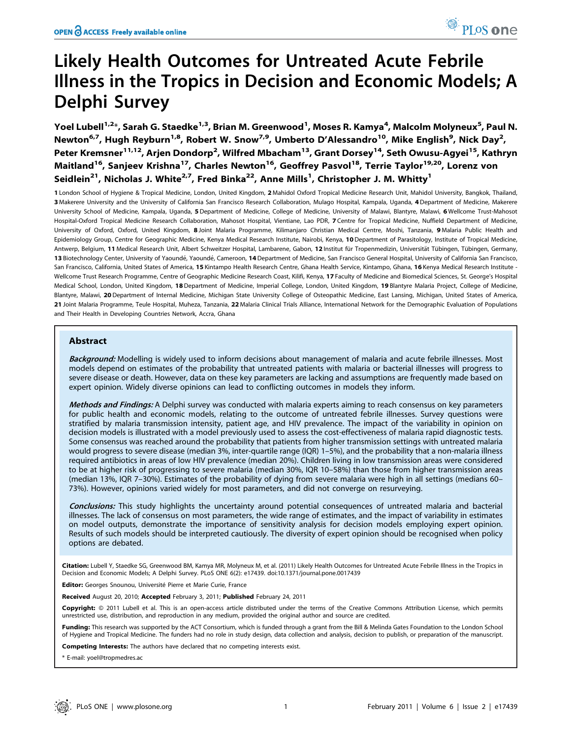# Likely Health Outcomes for Untreated Acute Febrile Illness in the Tropics in Decision and Economic Models; A Delphi Survey

Yoel Lubell<sup>1,2</sup>\*, Sarah G. Staedke<sup>1,3</sup>, Brian M. Greenwood<sup>1</sup>, Moses R. Kamya<sup>4</sup>, Malcolm Molyneux<sup>5</sup>, Paul N. Newton<sup>6,7</sup>, Hugh Reyburn<sup>1,8</sup>, Robert W. Snow<sup>7,9</sup>, Umberto D'Alessandro<sup>10</sup>, Mike English<sup>9</sup>, Nick Day<sup>2</sup>, Peter Kremsner<sup>11,12</sup>, Arjen Dondorp<sup>2</sup>, Wilfred Mbacham<sup>13</sup>, Grant Dorsey<sup>14</sup>, Seth Owusu-Agyei<sup>15</sup>, Kathryn Maitland<sup>16</sup>, Sanjeev Krishna<sup>17</sup>, Charles Newton<sup>16</sup>, Geoffrey Pasvol<sup>18</sup>, Terrie Taylor<sup>19,20</sup>, Lorenz von Seidlein $^{21}$ , Nicholas J. White $^{2,7}$ , Fred Binka $^{22}$ , Anne Mills $^{1}$ , Christopher J. M. Whitty $^{1}$ 

1 London School of Hygiene & Tropical Medicine, London, United Kingdom, 2 Mahidol Oxford Tropical Medicine Research Unit, Mahidol University, Bangkok, Thailand, 3 Makerere University and the University of California San Francisco Research Collaboration, Mulago Hospital, Kampala, Uganda, 4 Department of Medicine, Makerere University School of Medicine, Kampala, Uganda, 5 Department of Medicine, College of Medicine, University of Malawi, Blantyre, Malawi, 6 Wellcome Trust-Mahosot Hospital-Oxford Tropical Medicine Research Collaboration, Mahosot Hospital, Vientiane, Lao PDR, 7 Centre for Tropical Medicine, Nuffield Department of Medicine, University of Oxford, Oxford, United Kingdom, 8 Joint Malaria Programme, Kilimanjaro Christian Medical Centre, Moshi, Tanzania, 9 Malaria Public Health and Epidemiology Group, Centre for Geographic Medicine, Kenya Medical Research Institute, Nairobi, Kenya, 10 Department of Parasitology, Institute of Tropical Medicine, Antwerp, Belgium, 11 Medical Research Unit, Albert Schweitzer Hospital, Lambarene, Gabon, 12 Institut für Tropenmedizin, Universität Tübingen, Tübingen, Germany, 13 Biotechnology Center, University of Yaoundé, Yaoundé, Cameroon, 14 Department of Medicine, San Francisco General Hospital, University of California San Francisco, San Francisco, California, United States of America, 15 Kintampo Health Research Centre, Ghana Health Service, Kintampo, Ghana, 16 Kenya Medical Research Institute -Wellcome Trust Research Programme, Centre of Geographic Medicine Research Coast, Kilifi, Kenya, 17 Faculty of Medicine and Biomedical Sciences, St. George's Hospital Medical School, London, United Kingdom, 18 Department of Medicine, Imperial College, London, United Kingdom, 19 Blantyre Malaria Project, College of Medicine, Blantyre, Malawi, 20 Department of Internal Medicine, Michigan State University College of Osteopathic Medicine, East Lansing, Michigan, United States of America, 21 Joint Malaria Programme, Teule Hospital, Muheza, Tanzania, 22 Malaria Clinical Trials Alliance, International Network for the Demographic Evaluation of Populations and Their Health in Developing Countries Network, Accra, Ghana

## Abstract

Background: Modelling is widely used to inform decisions about management of malaria and acute febrile illnesses. Most models depend on estimates of the probability that untreated patients with malaria or bacterial illnesses will progress to severe disease or death. However, data on these key parameters are lacking and assumptions are frequently made based on expert opinion. Widely diverse opinions can lead to conflicting outcomes in models they inform.

Methods and Findings: A Delphi survey was conducted with malaria experts aiming to reach consensus on key parameters for public health and economic models, relating to the outcome of untreated febrile illnesses. Survey questions were stratified by malaria transmission intensity, patient age, and HIV prevalence. The impact of the variability in opinion on decision models is illustrated with a model previously used to assess the cost-effectiveness of malaria rapid diagnostic tests. Some consensus was reached around the probability that patients from higher transmission settings with untreated malaria would progress to severe disease (median 3%, inter-quartile range (IQR) 1–5%), and the probability that a non-malaria illness required antibiotics in areas of low HIV prevalence (median 20%). Children living in low transmission areas were considered to be at higher risk of progressing to severe malaria (median 30%, IQR 10–58%) than those from higher transmission areas (median 13%, IQR 7–30%). Estimates of the probability of dying from severe malaria were high in all settings (medians 60– 73%). However, opinions varied widely for most parameters, and did not converge on resurveying.

Conclusions: This study highlights the uncertainty around potential consequences of untreated malaria and bacterial illnesses. The lack of consensus on most parameters, the wide range of estimates, and the impact of variability in estimates on model outputs, demonstrate the importance of sensitivity analysis for decision models employing expert opinion. Results of such models should be interpreted cautiously. The diversity of expert opinion should be recognised when policy options are debated.

Citation: Lubell Y, Staedke SG, Greenwood BM, Kamya MR, Molyneux M, et al. (2011) Likely Health Outcomes for Untreated Acute Febrile Illness in the Tropics in Decision and Economic Models; A Delphi Survey. PLoS ONE 6(2): e17439. doi:10.1371/journal.pone.0017439

Editor: Georges Snounou, Université Pierre et Marie Curie, France

Received August 20, 2010; Accepted February 3, 2011; Published February 24, 2011

Copyright: © 2011 Lubell et al. This is an open-access article distributed under the terms of the Creative Commons Attribution License, which permits unrestricted use, distribution, and reproduction in any medium, provided the original author and source are credited.

Funding: This research was supported by the ACT Consortium, which is funded through a grant from the Bill & Melinda Gates Foundation to the London School of Hygiene and Tropical Medicine. The funders had no role in study design, data collection and analysis, decision to publish, or preparation of the manuscript.

Competing Interests: The authors have declared that no competing interests exist.

\* E-mail: yoel@tropmedres.ac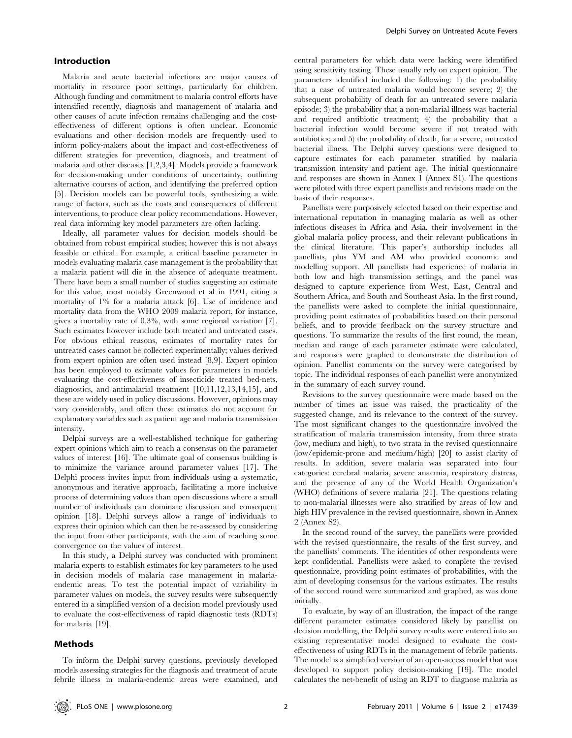### Introduction

Malaria and acute bacterial infections are major causes of mortality in resource poor settings, particularly for children. Although funding and commitment to malaria control efforts have intensified recently, diagnosis and management of malaria and other causes of acute infection remains challenging and the costeffectiveness of different options is often unclear. Economic evaluations and other decision models are frequently used to inform policy-makers about the impact and cost-effectiveness of different strategies for prevention, diagnosis, and treatment of malaria and other diseases [1,2,3,4]. Models provide a framework for decision-making under conditions of uncertainty, outlining alternative courses of action, and identifying the preferred option [5]. Decision models can be powerful tools, synthesizing a wide range of factors, such as the costs and consequences of different interventions, to produce clear policy recommendations. However, real data informing key model parameters are often lacking.

Ideally, all parameter values for decision models should be obtained from robust empirical studies; however this is not always feasible or ethical. For example, a critical baseline parameter in models evaluating malaria case management is the probability that a malaria patient will die in the absence of adequate treatment. There have been a small number of studies suggesting an estimate for this value, most notably Greenwood et al in 1991, citing a mortality of 1% for a malaria attack [6]. Use of incidence and mortality data from the WHO 2009 malaria report, for instance, gives a mortality rate of 0.3%, with some regional variation [7]. Such estimates however include both treated and untreated cases. For obvious ethical reasons, estimates of mortality rates for untreated cases cannot be collected experimentally; values derived from expert opinion are often used instead [8,9]. Expert opinion has been employed to estimate values for parameters in models evaluating the cost-effectiveness of insecticide treated bed-nets, diagnostics, and antimalarial treatment [10,11,12,13,14,15], and these are widely used in policy discussions. However, opinions may vary considerably, and often these estimates do not account for explanatory variables such as patient age and malaria transmission intensity.

Delphi surveys are a well-established technique for gathering expert opinions which aim to reach a consensus on the parameter values of interest [16]. The ultimate goal of consensus building is to minimize the variance around parameter values [17]. The Delphi process invites input from individuals using a systematic, anonymous and iterative approach, facilitating a more inclusive process of determining values than open discussions where a small number of individuals can dominate discussion and consequent opinion [18]. Delphi surveys allow a range of individuals to express their opinion which can then be re-assessed by considering the input from other participants, with the aim of reaching some convergence on the values of interest.

In this study, a Delphi survey was conducted with prominent malaria experts to establish estimates for key parameters to be used in decision models of malaria case management in malariaendemic areas. To test the potential impact of variability in parameter values on models, the survey results were subsequently entered in a simplified version of a decision model previously used to evaluate the cost-effectiveness of rapid diagnostic tests (RDTs) for malaria [19].

### Methods

central parameters for which data were lacking were identified using sensitivity testing. These usually rely on expert opinion. The parameters identified included the following: 1) the probability that a case of untreated malaria would become severe; 2) the subsequent probability of death for an untreated severe malaria episode; 3) the probability that a non-malarial illness was bacterial and required antibiotic treatment; 4) the probability that a bacterial infection would become severe if not treated with antibiotics; and 5) the probability of death, for a severe, untreated bacterial illness. The Delphi survey questions were designed to capture estimates for each parameter stratified by malaria transmission intensity and patient age. The initial questionnaire and responses are shown in Annex 1 (Annex S1). The questions were piloted with three expert panellists and revisions made on the basis of their responses.

Panellists were purposively selected based on their expertise and international reputation in managing malaria as well as other infectious diseases in Africa and Asia, their involvement in the global malaria policy process, and their relevant publications in the clinical literature. This paper's authorship includes all panellists, plus YM and AM who provided economic and modelling support. All panellists had experience of malaria in both low and high transmission settings, and the panel was designed to capture experience from West, East, Central and Southern Africa, and South and Southeast Asia. In the first round, the panellists were asked to complete the initial questionnaire, providing point estimates of probabilities based on their personal beliefs, and to provide feedback on the survey structure and questions. To summarize the results of the first round, the mean, median and range of each parameter estimate were calculated, and responses were graphed to demonstrate the distribution of opinion. Panellist comments on the survey were categorised by topic. The individual responses of each panellist were anonymized in the summary of each survey round.

Revisions to the survey questionnaire were made based on the number of times an issue was raised, the practicality of the suggested change, and its relevance to the context of the survey. The most significant changes to the questionnaire involved the stratification of malaria transmission intensity, from three strata (low, medium and high), to two strata in the revised questionnaire (low/epidemic-prone and medium/high) [20] to assist clarity of results. In addition, severe malaria was separated into four categories: cerebral malaria, severe anaemia, respiratory distress, and the presence of any of the World Health Organization's (WHO) definitions of severe malaria [21]. The questions relating to non-malarial illnesses were also stratified by areas of low and high HIV prevalence in the revised questionnaire, shown in Annex 2 (Annex S2).

In the second round of the survey, the panellists were provided with the revised questionnaire, the results of the first survey, and the panellists' comments. The identities of other respondents were kept confidential. Panellists were asked to complete the revised questionnaire, providing point estimates of probabilities, with the aim of developing consensus for the various estimates. The results of the second round were summarized and graphed, as was done initially.

To evaluate, by way of an illustration, the impact of the range different parameter estimates considered likely by panellist on decision modelling, the Delphi survey results were entered into an existing representative model designed to evaluate the costeffectiveness of using RDTs in the management of febrile patients. The model is a simplified version of an open-access model that was developed to support policy decision-making [19]. The model calculates the net-benefit of using an RDT to diagnose malaria as

To inform the Delphi survey questions, previously developed models assessing strategies for the diagnosis and treatment of acute febrile illness in malaria-endemic areas were examined, and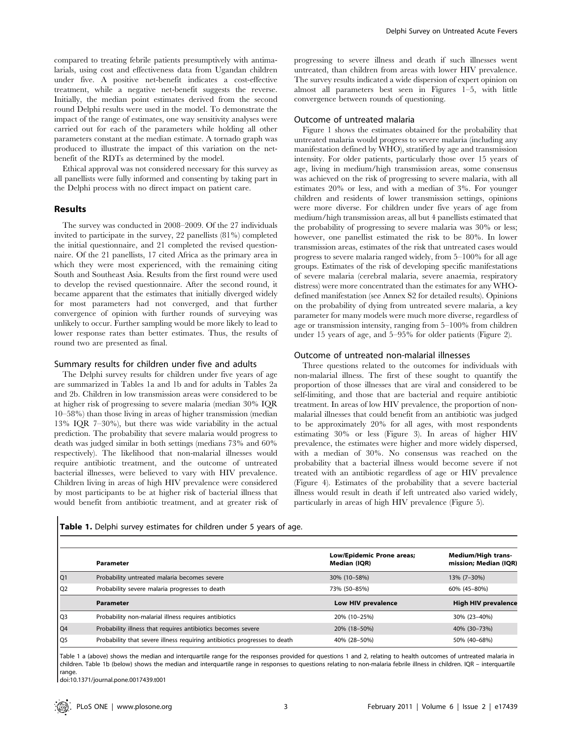compared to treating febrile patients presumptively with antimalarials, using cost and effectiveness data from Ugandan children under five. A positive net-benefit indicates a cost-effective treatment, while a negative net-benefit suggests the reverse. Initially, the median point estimates derived from the second round Delphi results were used in the model. To demonstrate the impact of the range of estimates, one way sensitivity analyses were carried out for each of the parameters while holding all other parameters constant at the median estimate. A tornado graph was produced to illustrate the impact of this variation on the netbenefit of the RDTs as determined by the model.

Ethical approval was not considered necessary for this survey as all panellists were fully informed and consenting by taking part in the Delphi process with no direct impact on patient care.

### Results

The survey was conducted in 2008–2009. Of the 27 individuals invited to participate in the survey, 22 panellists (81%) completed the initial questionnaire, and 21 completed the revised questionnaire. Of the 21 panellists, 17 cited Africa as the primary area in which they were most experienced, with the remaining citing South and Southeast Asia. Results from the first round were used to develop the revised questionnaire. After the second round, it became apparent that the estimates that initially diverged widely for most parameters had not converged, and that further convergence of opinion with further rounds of surveying was unlikely to occur. Further sampling would be more likely to lead to lower response rates than better estimates. Thus, the results of round two are presented as final.

#### Summary results for children under five and adults

The Delphi survey results for children under five years of age are summarized in Tables 1a and 1b and for adults in Tables 2a and 2b. Children in low transmission areas were considered to be at higher risk of progressing to severe malaria (median 30% IQR 10–58%) than those living in areas of higher transmission (median 13% IQR 7–30%), but there was wide variability in the actual prediction. The probability that severe malaria would progress to death was judged similar in both settings (medians 73% and 60% respectively). The likelihood that non-malarial illnesses would require antibiotic treatment, and the outcome of untreated bacterial illnesses, were believed to vary with HIV prevalence. Children living in areas of high HIV prevalence were considered by most participants to be at higher risk of bacterial illness that would benefit from antibiotic treatment, and at greater risk of

Table 1. Delphi survey estimates for children under 5 years of age.

progressing to severe illness and death if such illnesses went untreated, than children from areas with lower HIV prevalence. The survey results indicated a wide dispersion of expert opinion on almost all parameters best seen in Figures 1–5, with little convergence between rounds of questioning.

#### Outcome of untreated malaria

Figure 1 shows the estimates obtained for the probability that untreated malaria would progress to severe malaria (including any manifestation defined by WHO), stratified by age and transmission intensity. For older patients, particularly those over 15 years of age, living in medium/high transmission areas, some consensus was achieved on the risk of progressing to severe malaria, with all estimates 20% or less, and with a median of 3%. For younger children and residents of lower transmission settings, opinions were more diverse. For children under five years of age from medium/high transmission areas, all but 4 panellists estimated that the probability of progressing to severe malaria was 30% or less; however, one panellist estimated the risk to be 80%. In lower transmission areas, estimates of the risk that untreated cases would progress to severe malaria ranged widely, from 5–100% for all age groups. Estimates of the risk of developing specific manifestations of severe malaria (cerebral malaria, severe anaemia, respiratory distress) were more concentrated than the estimates for any WHOdefined manifestation (see Annex S2 for detailed results). Opinions on the probability of dying from untreated severe malaria, a key parameter for many models were much more diverse, regardless of age or transmission intensity, ranging from 5–100% from children under 15 years of age, and 5–95% for older patients (Figure 2).

#### Outcome of untreated non-malarial illnesses

Three questions related to the outcomes for individuals with non-malarial illness. The first of these sought to quantify the proportion of those illnesses that are viral and considered to be self-limiting, and those that are bacterial and require antibiotic treatment. In areas of low HIV prevalence, the proportion of nonmalarial illnesses that could benefit from an antibiotic was judged to be approximately 20% for all ages, with most respondents estimating 30% or less (Figure 3). In areas of higher HIV prevalence, the estimates were higher and more widely dispersed, with a median of 30%. No consensus was reached on the probability that a bacterial illness would become severe if not treated with an antibiotic regardless of age or HIV prevalence (Figure 4). Estimates of the probability that a severe bacterial illness would result in death if left untreated also varied widely, particularly in areas of high HIV prevalence (Figure 5).

|                 | Parameter                                                                 | <b>Low/Epidemic Prone areas;</b><br>Median (IQR) | <b>Medium/High trans-</b><br>mission; Median (IQR) |
|-----------------|---------------------------------------------------------------------------|--------------------------------------------------|----------------------------------------------------|
| IQ1             | Probability untreated malaria becomes severe                              | 30% (10-58%)                                     | 13% (7-30%)                                        |
| l O2            | Probability severe malaria progresses to death                            | 73% (50-85%)                                     | 60% (45-80%)                                       |
|                 | <b>Parameter</b>                                                          | Low HIV prevalence                               | <b>High HIV prevalence</b>                         |
| l Q3            | Probability non-malarial illness requires antibiotics                     | 20% (10-25%)                                     | 30% (23-40%)                                       |
| $\overline{Q4}$ | Probability illness that requires antibiotics becomes severe              | 20% (18-50%)                                     | 40% (30-73%)                                       |
| l Q5            | Probability that severe illness requiring antibiotics progresses to death | 40% (28-50%)                                     | 50% (40-68%)                                       |

Table 1 a (above) shows the median and interquartile range for the responses provided for questions 1 and 2, relating to health outcomes of untreated malaria in children. Table 1b (below) shows the median and interquartile range in responses to questions relating to non-malaria febrile illness in children. IQR – interquartile range. doi:10.1371/journal.pone.0017439.t001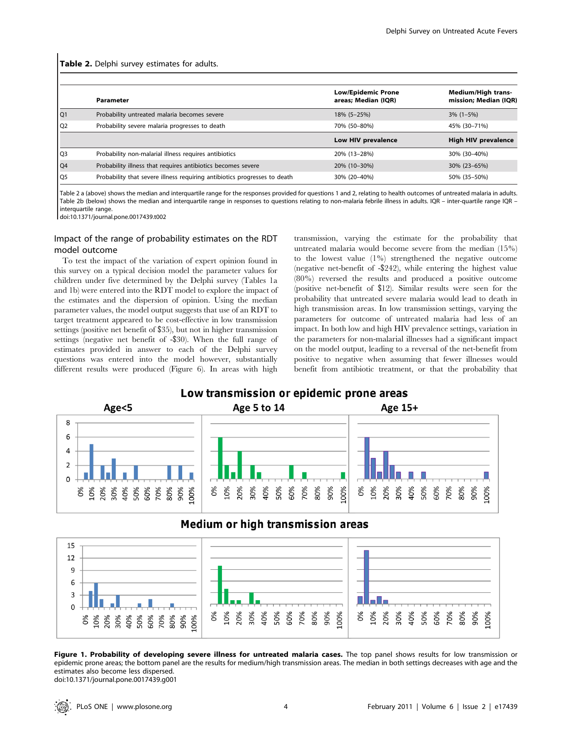#### Table 2. Delphi survey estimates for adults.

|                  | Parameter                                                    | <b>Low/Epidemic Prone</b><br>areas; Median (IQR) | <b>Medium/High trans-</b><br>mission; Median (IQR) |  |
|------------------|--------------------------------------------------------------|--------------------------------------------------|----------------------------------------------------|--|
| Q <sub>1</sub>   | Probability untreated malaria becomes severe                 | 18% (5-25%)                                      | $3\%$ (1-5%)                                       |  |
| l Q <sub>2</sub> | Probability severe malaria progresses to death               | 70% (50-80%)                                     | 45% (30-71%)                                       |  |
|                  |                                                              | Low HIV prevalence                               | <b>High HIV prevalence</b>                         |  |
|                  |                                                              |                                                  |                                                    |  |
| Q <sub>3</sub>   | Probability non-malarial illness requires antibiotics        | 20% (13-28%)                                     | 30% (30-40%)                                       |  |
| Q4               | Probability illness that requires antibiotics becomes severe | 20% (10-30%)                                     | 30% (23-65%)                                       |  |

Table 2 a (above) shows the median and interquartile range for the responses provided for questions 1 and 2, relating to health outcomes of untreated malaria in adults. Table 2b (below) shows the median and interquartile range in responses to questions relating to non-malaria febrile illness in adults. IQR – inter-quartile range IQR – interquartile range.

doi:10.1371/journal.pone.0017439.t002

### Impact of the range of probability estimates on the RDT model outcome

To test the impact of the variation of expert opinion found in this survey on a typical decision model the parameter values for children under five determined by the Delphi survey (Tables 1a and 1b) were entered into the RDT model to explore the impact of the estimates and the dispersion of opinion. Using the median parameter values, the model output suggests that use of an RDT to target treatment appeared to be cost-effective in low transmission settings (positive net benefit of \$35), but not in higher transmission settings (negative net benefit of -\$30). When the full range of estimates provided in answer to each of the Delphi survey questions was entered into the model however, substantially different results were produced (Figure 6). In areas with high

transmission, varying the estimate for the probability that untreated malaria would become severe from the median (15%) to the lowest value (1%) strengthened the negative outcome (negative net-benefit of -\$242), while entering the highest value (80%) reversed the results and produced a positive outcome (positive net-benefit of \$12). Similar results were seen for the probability that untreated severe malaria would lead to death in high transmission areas. In low transmission settings, varying the parameters for outcome of untreated malaria had less of an impact. In both low and high HIV prevalence settings, variation in the parameters for non-malarial illnesses had a significant impact on the model output, leading to a reversal of the net-benefit from positive to negative when assuming that fewer illnesses would benefit from antibiotic treatment, or that the probability that

Low transmission or epidemic prone areas



Medium or high transmission areas



Figure 1. Probability of developing severe illness for untreated malaria cases. The top panel shows results for low transmission or epidemic prone areas; the bottom panel are the results for medium/high transmission areas. The median in both settings decreases with age and the estimates also become less dispersed. doi:10.1371/journal.pone.0017439.g001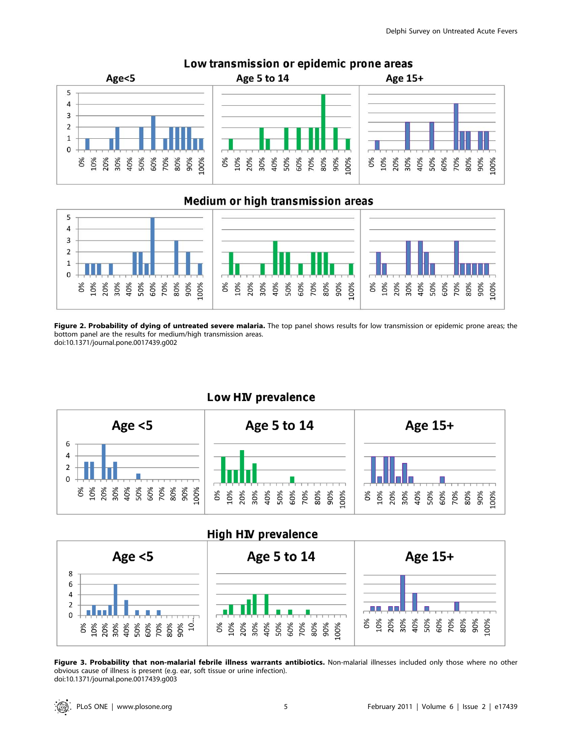

# Low transmission or epidemic prone areas

# Medium or high transmission areas



Figure 2. Probability of dying of untreated severe malaria. The top panel shows results for low transmission or epidemic prone areas; the bottom panel are the results for medium/high transmission areas. doi:10.1371/journal.pone.0017439.g002

# **Low HIV prevalence**



# **High HIV prevalence**



Figure 3. Probability that non-malarial febrile illness warrants antibiotics. Non-malarial illnesses included only those where no other obvious cause of illness is present (e.g. ear, soft tissue or urine infection). doi:10.1371/journal.pone.0017439.g003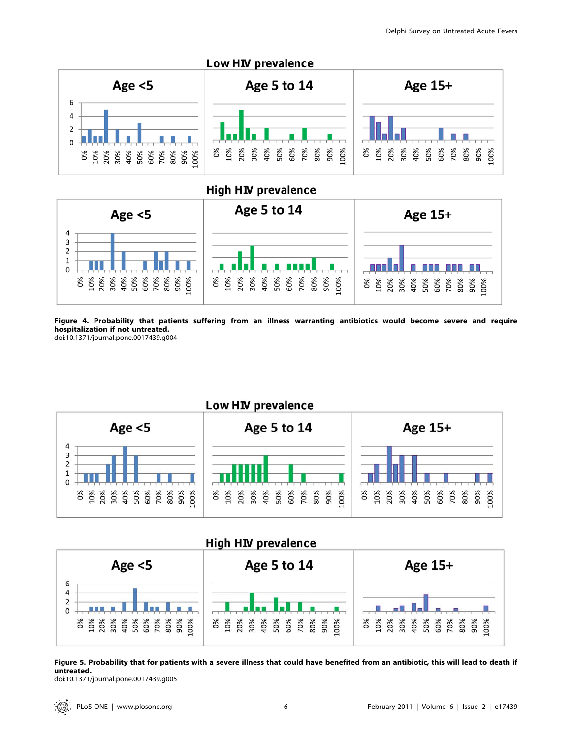

# **High HIV prevalence**



Figure 4. Probability that patients suffering from an illness warranting antibiotics would become severe and require hospitalization if not untreated. doi:10.1371/journal.pone.0017439.g004





Figure 5. Probability that for patients with a severe illness that could have benefited from an antibiotic, this will lead to death if untreated.

doi:10.1371/journal.pone.0017439.g005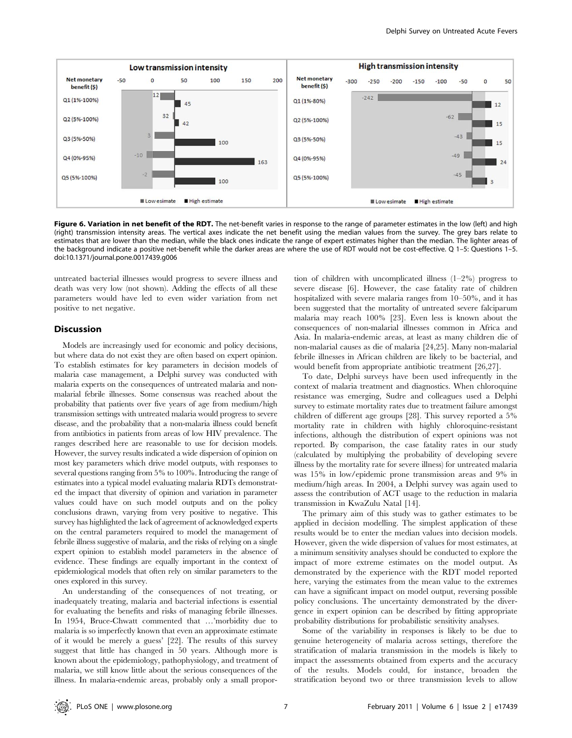

Figure 6. Variation in net benefit of the RDT. The net-benefit varies in response to the range of parameter estimates in the low (left) and high (right) transmission intensity areas. The vertical axes indicate the net benefit using the median values from the survey. The grey bars relate to estimates that are lower than the median, while the black ones indicate the range of expert estimates higher than the median. The lighter areas of the background indicate a positive net-benefit while the darker areas are where the use of RDT would not be cost-effective. Q 1–5: Questions 1–5. doi:10.1371/journal.pone.0017439.g006

untreated bacterial illnesses would progress to severe illness and death was very low (not shown). Adding the effects of all these parameters would have led to even wider variation from net positive to net negative.

### Discussion

Models are increasingly used for economic and policy decisions, but where data do not exist they are often based on expert opinion. To establish estimates for key parameters in decision models of malaria case management, a Delphi survey was conducted with malaria experts on the consequences of untreated malaria and nonmalarial febrile illnesses. Some consensus was reached about the probability that patients over five years of age from medium/high transmission settings with untreated malaria would progress to severe disease, and the probability that a non-malaria illness could benefit from antibiotics in patients from areas of low HIV prevalence. The ranges described here are reasonable to use for decision models. However, the survey results indicated a wide dispersion of opinion on most key parameters which drive model outputs, with responses to several questions ranging from 5% to 100%. Introducing the range of estimates into a typical model evaluating malaria RDTs demonstrated the impact that diversity of opinion and variation in parameter values could have on such model outputs and on the policy conclusions drawn, varying from very positive to negative. This survey has highlighted the lack of agreement of acknowledged experts on the central parameters required to model the management of febrile illness suggestive of malaria, and the risks of relying on a single expert opinion to establish model parameters in the absence of evidence. These findings are equally important in the context of epidemiological models that often rely on similar parameters to the ones explored in this survey.

An understanding of the consequences of not treating, or inadequately treating, malaria and bacterial infections is essential for evaluating the benefits and risks of managing febrile illnesses. In 1954, Bruce-Chwatt commented that …'morbidity due to malaria is so imperfectly known that even an approximate estimate of it would be merely a guess' [22]. The results of this survey suggest that little has changed in 50 years. Although more is known about the epidemiology, pathophysiology, and treatment of malaria, we still know little about the serious consequences of the illness. In malaria-endemic areas, probably only a small proportion of children with uncomplicated illness (1–2%) progress to severe disease [6]. However, the case fatality rate of children hospitalized with severe malaria ranges from 10–50%, and it has been suggested that the mortality of untreated severe falciparum malaria may reach 100% [23]. Even less is known about the consequences of non-malarial illnesses common in Africa and Asia. In malaria-endemic areas, at least as many children die of non-malarial causes as die of malaria [24,25]. Many non-malarial febrile illnesses in African children are likely to be bacterial, and would benefit from appropriate antibiotic treatment [26,27].

To date, Delphi surveys have been used infrequently in the context of malaria treatment and diagnostics. When chloroquine resistance was emerging, Sudre and colleagues used a Delphi survey to estimate mortality rates due to treatment failure amongst children of different age groups [28]. This survey reported a 5% mortality rate in children with highly chloroquine-resistant infections, although the distribution of expert opinions was not reported. By comparison, the case fatality rates in our study (calculated by multiplying the probability of developing severe illness by the mortality rate for severe illness) for untreated malaria was 15% in low/epidemic prone transmission areas and 9% in medium/high areas. In 2004, a Delphi survey was again used to assess the contribution of ACT usage to the reduction in malaria transmission in KwaZulu Natal [14].

The primary aim of this study was to gather estimates to be applied in decision modelling. The simplest application of these results would be to enter the median values into decision models. However, given the wide dispersion of values for most estimates, at a minimum sensitivity analyses should be conducted to explore the impact of more extreme estimates on the model output. As demonstrated by the experience with the RDT model reported here, varying the estimates from the mean value to the extremes can have a significant impact on model output, reversing possible policy conclusions. The uncertainty demonstrated by the divergence in expert opinion can be described by fitting appropriate probability distributions for probabilistic sensitivity analyses.

Some of the variability in responses is likely to be due to genuine heterogeneity of malaria across settings, therefore the stratification of malaria transmission in the models is likely to impact the assessments obtained from experts and the accuracy of the results. Models could, for instance, broaden the stratification beyond two or three transmission levels to allow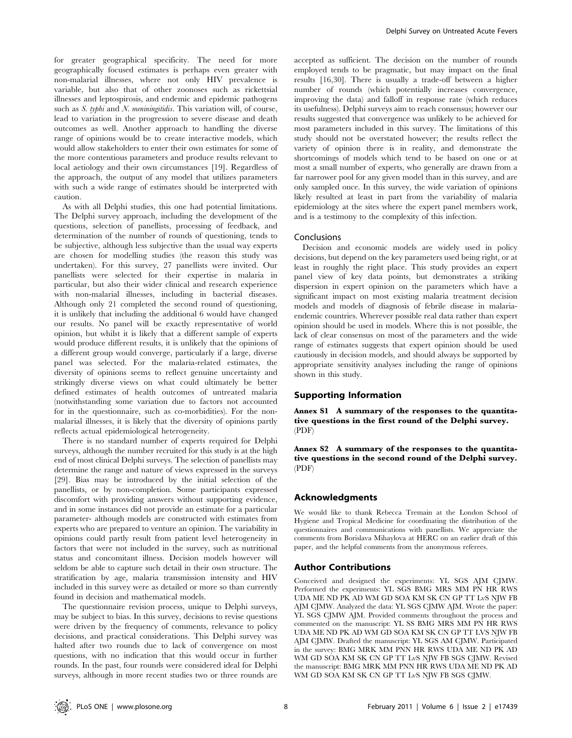for greater geographical specificity. The need for more geographically focused estimates is perhaps even greater with non-malarial illnesses, where not only HIV prevalence is variable, but also that of other zoonoses such as rickettsial illnesses and leptospirosis, and endemic and epidemic pathogens such as S. typhi and N. meniningitidis. This variation will, of course, lead to variation in the progression to severe disease and death outcomes as well. Another approach to handling the diverse range of opinions would be to create interactive models, which would allow stakeholders to enter their own estimates for some of the more contentious parameters and produce results relevant to local aetiology and their own circumstances [19]. Regardless of the approach, the output of any model that utilizes parameters with such a wide range of estimates should be interpreted with caution.

As with all Delphi studies, this one had potential limitations. The Delphi survey approach, including the development of the questions, selection of panellists, processing of feedback, and determination of the number of rounds of questioning, tends to be subjective, although less subjective than the usual way experts are chosen for modelling studies (the reason this study was undertaken). For this survey, 27 panellists were invited. Our panellists were selected for their expertise in malaria in particular, but also their wider clinical and research experience with non-malarial illnesses, including in bacterial diseases. Although only 21 completed the second round of questioning, it is unlikely that including the additional 6 would have changed our results. No panel will be exactly representative of world opinion, but whilst it is likely that a different sample of experts would produce different results, it is unlikely that the opinions of a different group would converge, particularly if a large, diverse panel was selected. For the malaria-related estimates, the diversity of opinions seems to reflect genuine uncertainty and strikingly diverse views on what could ultimately be better defined estimates of health outcomes of untreated malaria (notwithstanding some variation due to factors not accounted for in the questionnaire, such as co-morbidities). For the nonmalarial illnesses, it is likely that the diversity of opinions partly reflects actual epidemiological heterogeneity.

There is no standard number of experts required for Delphi surveys, although the number recruited for this study is at the high end of most clinical Delphi surveys. The selection of panellists may determine the range and nature of views expressed in the surveys [29]. Bias may be introduced by the initial selection of the panellists, or by non-completion. Some participants expressed discomfort with providing answers without supporting evidence, and in some instances did not provide an estimate for a particular parameter- although models are constructed with estimates from experts who are prepared to venture an opinion. The variability in opinions could partly result from patient level heterogeneity in factors that were not included in the survey, such as nutritional status and concomitant illness. Decision models however will seldom be able to capture such detail in their own structure. The stratification by age, malaria transmission intensity and HIV included in this survey were as detailed or more so than currently found in decision and mathematical models.

The questionnaire revision process, unique to Delphi surveys, may be subject to bias. In this survey, decisions to revise questions were driven by the frequency of comments, relevance to policy decisions, and practical considerations. This Delphi survey was halted after two rounds due to lack of convergence on most questions, with no indication that this would occur in further rounds. In the past, four rounds were considered ideal for Delphi surveys, although in more recent studies two or three rounds are

accepted as sufficient. The decision on the number of rounds employed tends to be pragmatic, but may impact on the final results [16,30]. There is usually a trade-off between a higher number of rounds (which potentially increases convergence, improving the data) and falloff in response rate (which reduces its usefulness). Delphi surveys aim to reach consensus; however our results suggested that convergence was unlikely to be achieved for most parameters included in this survey. The limitations of this study should not be overstated however; the results reflect the variety of opinion there is in reality, and demonstrate the shortcomings of models which tend to be based on one or at most a small number of experts, who generally are drawn from a far narrower pool for any given model than in this survey, and are only sampled once. In this survey, the wide variation of opinions likely resulted at least in part from the variability of malaria epidemiology at the sites where the expert panel members work, and is a testimony to the complexity of this infection.

### Conclusions

Decision and economic models are widely used in policy decisions, but depend on the key parameters used being right, or at least in roughly the right place. This study provides an expert panel view of key data points, but demonstrates a striking dispersion in expert opinion on the parameters which have a significant impact on most existing malaria treatment decision models and models of diagnosis of febrile disease in malariaendemic countries. Wherever possible real data rather than expert opinion should be used in models. Where this is not possible, the lack of clear consensus on most of the parameters and the wide range of estimates suggests that expert opinion should be used cautiously in decision models, and should always be supported by appropriate sensitivity analyses including the range of opinions shown in this study.

### Supporting Information

Annex S1 A summary of the responses to the quantitative questions in the first round of the Delphi survey. (PDF)

Annex S2 A summary of the responses to the quantitative questions in the second round of the Delphi survey. (PDF)

### Acknowledgments

We would like to thank Rebecca Tremain at the London School of Hygiene and Tropical Medicine for coordinating the distribution of the questionnaires and communications with panellists. We appreciate the comments from Borislava Mihaylova at HERC on an earlier draft of this paper, and the helpful comments from the anonymous referees.

#### Author Contributions

Conceived and designed the experiments: YL SGS AJM CJMW. Performed the experiments: YL SGS BMG MRS MM PN HR RWS UDA ME ND PK AD WM GD SOA KM SK CN GP TT LvS NJW FB AJM CJMW. Analyzed the data: YL SGS CJMW AJM. Wrote the paper: YL SGS CJMW AJM. Provided comments throughout the process and commented on the manuscript: YL SS BMG MRS MM PN HR RWS UDA ME ND PK AD WM GD SOA KM SK CN GP TT LVS NJW FB AJM CJMW. Drafted the manuscript: YL SGS AM CJMW. Participated in the survey: BMG MRK MM PNN HR RWS UDA ME ND PK AD WM GD SOA KM SK CN GP TT LvS NJW FB SGS CJMW. Revised the manuscript: BMG MRK MM PNN HR RWS UDA ME ND PK AD WM GD SOA KM SK CN GP TT LvS NJW FB SGS CJMW.